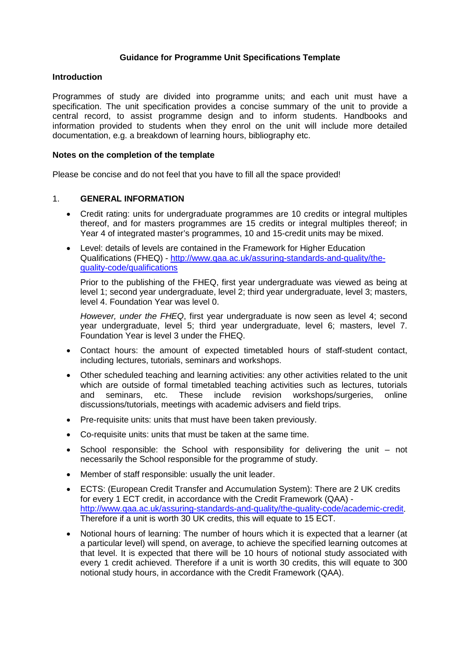### **Guidance for Programme Unit Specifications Template**

#### **Introduction**

Programmes of study are divided into programme units; and each unit must have a specification. The unit specification provides a concise summary of the unit to provide a central record, to assist programme design and to inform students. Handbooks and information provided to students when they enrol on the unit will include more detailed documentation, e.g. a breakdown of learning hours, bibliography etc.

#### **Notes on the completion of the template**

Please be concise and do not feel that you have to fill all the space provided!

#### 1. **GENERAL INFORMATION**

- Credit rating: units for undergraduate programmes are 10 credits or integral multiples thereof, and for masters programmes are 15 credits or integral multiples thereof; in Year 4 of integrated master's programmes, 10 and 15-credit units may be mixed.
- Level: details of levels are contained in the Framework for Higher Education Qualifications (FHEQ) - [http://www.qaa.ac.uk/assuring-standards-and-quality/the](http://www.qaa.ac.uk/assuring-standards-and-quality/the-quality-code/qualifications)[quality-code/qualifications](http://www.qaa.ac.uk/assuring-standards-and-quality/the-quality-code/qualifications)

Prior to the publishing of the FHEQ, first year undergraduate was viewed as being at level 1; second year undergraduate, level 2; third year undergraduate, level 3; masters, level 4. Foundation Year was level 0.

*However, under the FHEQ*, first year undergraduate is now seen as level 4; second year undergraduate, level 5; third year undergraduate, level 6; masters, level 7. Foundation Year is level 3 under the FHEQ.

- Contact hours: the amount of expected timetabled hours of staff-student contact, including lectures, tutorials, seminars and workshops.
- Other scheduled teaching and learning activities: any other activities related to the unit which are outside of formal timetabled teaching activities such as lectures, tutorials<br>and seminars, etc. These include revision workshops/surgeries, online and seminars, etc. These include revision workshops/surgeries, online discussions/tutorials, meetings with academic advisers and field trips.
- Pre-requisite units: units that must have been taken previously.
- Co-requisite units: units that must be taken at the same time.
- School responsible: the School with responsibility for delivering the unit not necessarily the School responsible for the programme of study.
- Member of staff responsible: usually the unit leader.
- ECTS: (European Credit Transfer and Accumulation System): There are 2 UK credits for every 1 ECT credit, in accordance with the Credit Framework (QAA) [http://www.qaa.ac.uk/assuring-standards-and-quality/the-quality-code/academic-credit.](http://www.qaa.ac.uk/assuring-standards-and-quality/the-quality-code/academic-credit) Therefore if a unit is worth 30 UK credits, this will equate to 15 ECT.
- Notional hours of learning: The number of hours which it is expected that a learner (at a particular level) will spend, on average, to achieve the specified learning outcomes at that level. It is expected that there will be 10 hours of notional study associated with every 1 credit achieved. Therefore if a unit is worth 30 credits, this will equate to 300 notional study hours, in accordance with the Credit Framework (QAA).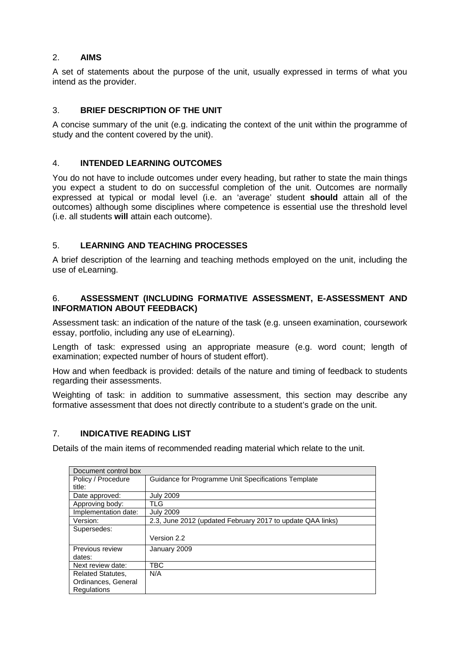# 2. **AIMS**

A set of statements about the purpose of the unit, usually expressed in terms of what you intend as the provider.

# 3. **BRIEF DESCRIPTION OF THE UNIT**

A concise summary of the unit (e.g. indicating the context of the unit within the programme of study and the content covered by the unit).

## 4. **INTENDED LEARNING OUTCOMES**

You do not have to include outcomes under every heading, but rather to state the main things you expect a student to do on successful completion of the unit. Outcomes are normally expressed at typical or modal level (i.e. an 'average' student **should** attain all of the outcomes) although some disciplines where competence is essential use the threshold level (i.e. all students **will** attain each outcome).

# 5. **LEARNING AND TEACHING PROCESSES**

A brief description of the learning and teaching methods employed on the unit, including the use of eLearning.

## 6. **ASSESSMENT (INCLUDING FORMATIVE ASSESSMENT, E-ASSESSMENT AND INFORMATION ABOUT FEEDBACK)**

Assessment task: an indication of the nature of the task (e.g. unseen examination, coursework essay, portfolio, including any use of eLearning).

Length of task: expressed using an appropriate measure (e.g. word count; length of examination; expected number of hours of student effort).

How and when feedback is provided: details of the nature and timing of feedback to students regarding their assessments.

Weighting of task: in addition to summative assessment, this section may describe any formative assessment that does not directly contribute to a student's grade on the unit.

### 7. **INDICATIVE READING LIST**

Details of the main items of recommended reading material which relate to the unit.

| Document control box     |                                                            |
|--------------------------|------------------------------------------------------------|
| Policy / Procedure       | Guidance for Programme Unit Specifications Template        |
| title:                   |                                                            |
| Date approved:           | <b>July 2009</b>                                           |
| Approving body:          | TLG.                                                       |
| Implementation date:     | <b>July 2009</b>                                           |
| Version:                 | 2.3, June 2012 (updated February 2017 to update QAA links) |
| Supersedes:              |                                                            |
|                          | Version 2.2                                                |
| Previous review          | January 2009                                               |
| dates:                   |                                                            |
| Next review date:        | TBC                                                        |
| <b>Related Statutes,</b> | N/A                                                        |
| Ordinances, General      |                                                            |
| Regulations              |                                                            |